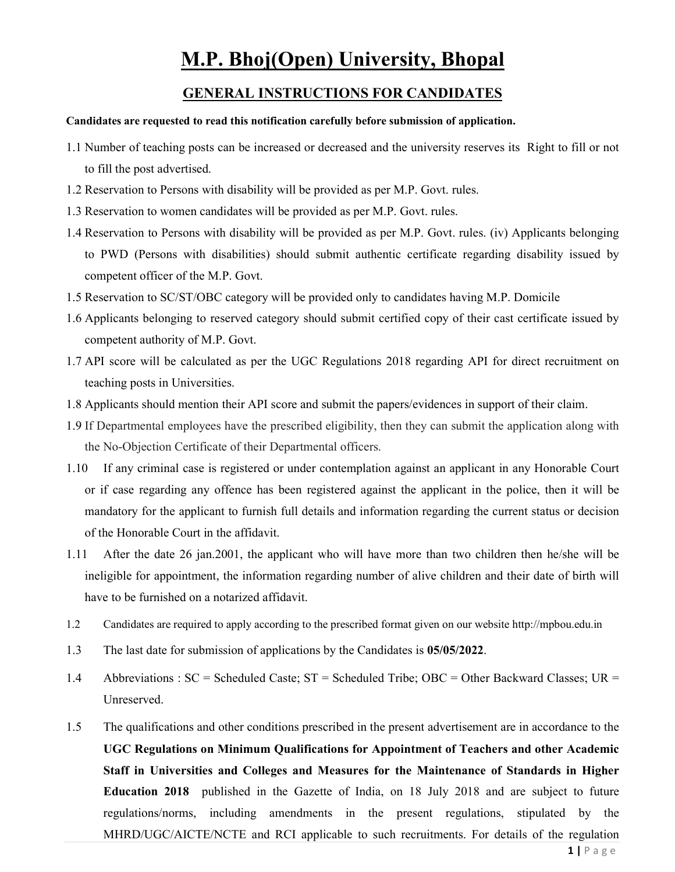# **M.P. Bhoj(Open) University, Bhopal**

## **GENERAL INSTRUCTIONS FOR CANDIDATES**

### **Candidates are requested to read this notification carefully before submission of application.**

- 1.1 Number of teaching posts can be increased or decreased and the university reserves its Right to fill or not to fill the post advertised.
- 1.2 Reservation to Persons with disability will be provided as per M.P. Govt. rules.
- 1.3 Reservation to women candidates will be provided as per M.P. Govt. rules.
- 1.4 Reservation to Persons with disability will be provided as per M.P. Govt. rules. (iv) Applicants belonging to PWD (Persons with disabilities) should submit authentic certificate regarding disability issued by competent officer of the M.P. Govt.
- 1.5 Reservation to SC/ST/OBC category will be provided only to candidates having M.P. Domicile
- 1.6 Applicants belonging to reserved category should submit certified copy of their cast certificate issued by competent authority of M.P. Govt.
- 1.7 API score will be calculated as per the UGC Regulations 2018 regarding API for direct recruitment on teaching posts in Universities.
- 1.8 Applicants should mention their API score and submit the papers/evidences in support of their claim.
- 1.9 If Departmental employees have the prescribed eligibility, then they can submit the application along with the No-Objection Certificate of their Departmental officers.
- 1.10 If any criminal case is registered or under contemplation against an applicant in any Honorable Court or if case regarding any offence has been registered against the applicant in the police, then it will be mandatory for the applicant to furnish full details and information regarding the current status or decision of the Honorable Court in the affidavit.
- 1.11 After the date 26 jan.2001, the applicant who will have more than two children then he/she will be ineligible for appointment, the information regarding number of alive children and their date of birth will have to be furnished on a notarized affidavit.
- 1.2 Candidates are required to apply according to the prescribed format given on our website http://mpbou.edu.in
- 1.3 The last date for submission of applications by the Candidates is **05/05/2022**.
- 1.4 Abbreviations : SC = Scheduled Caste; ST = Scheduled Tribe; OBC = Other Backward Classes; UR = Unreserved.
- 1.5 The qualifications and other conditions prescribed in the present advertisement are in accordance to the **UGC Regulations on Minimum Qualifications for Appointment of Teachers and other Academic Staff in Universities and Colleges and Measures for the Maintenance of Standards in Higher Education 2018** published in the Gazette of India, on 18 July 2018 and are subject to future regulations/norms, including amendments in the present regulations, stipulated by the MHRD/UGC/AICTE/NCTE and RCI applicable to such recruitments. For details of the regulation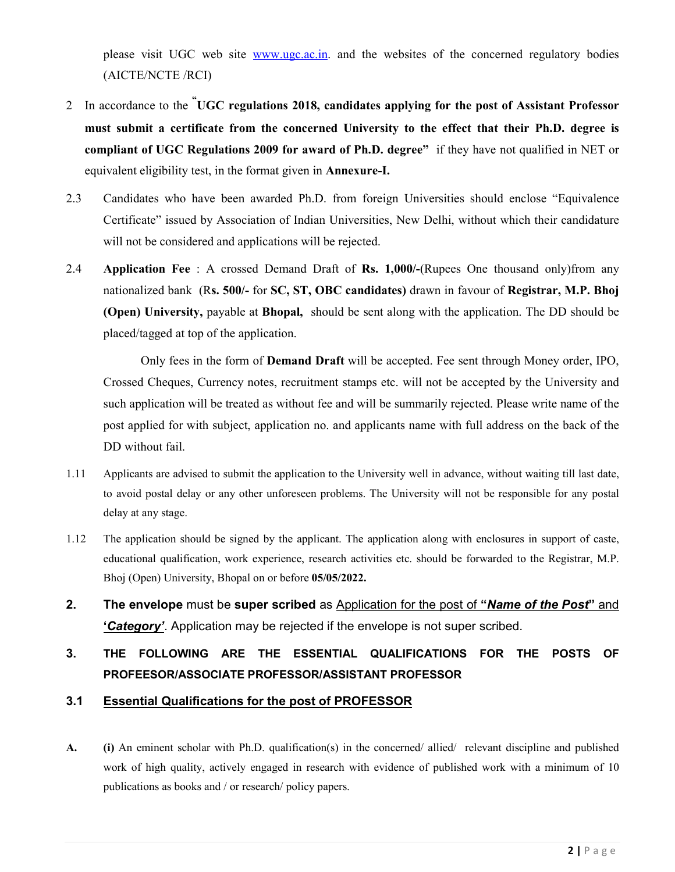please visit UGC web site www.ugc.ac.in. and the websites of the concerned regulatory bodies (AICTE/NCTE /RCI)

- 2 In accordance to the **" UGC regulations 2018, candidates applying for the post of Assistant Professor must submit a certificate from the concerned University to the effect that their Ph.D. degree is compliant of UGC Regulations 2009 for award of Ph.D. degree"** if they have not qualified in NET or equivalent eligibility test, in the format given in **Annexure-I.**
- 2.3 Candidates who have been awarded Ph.D. from foreign Universities should enclose "Equivalence Certificate" issued by Association of Indian Universities, New Delhi, without which their candidature will not be considered and applications will be rejected.
- 2.4 **Application Fee** : A crossed Demand Draft of **Rs. 1,000/-**(Rupees One thousand only)from any nationalized bank (R**s. 500/-** for **SC, ST, OBC candidates)** drawn in favour of **Registrar, M.P. Bhoj (Open) University,** payable at **Bhopal,** should be sent along with the application. The DD should be placed/tagged at top of the application.

Only fees in the form of **Demand Draft** will be accepted. Fee sent through Money order, IPO, Crossed Cheques, Currency notes, recruitment stamps etc. will not be accepted by the University and such application will be treated as without fee and will be summarily rejected. Please write name of the post applied for with subject, application no. and applicants name with full address on the back of the DD without fail.

- 1.11 Applicants are advised to submit the application to the University well in advance, without waiting till last date, to avoid postal delay or any other unforeseen problems. The University will not be responsible for any postal delay at any stage.
- 1.12 The application should be signed by the applicant. The application along with enclosures in support of caste, educational qualification, work experience, research activities etc. should be forwarded to the Registrar, M.P. Bhoj (Open) University, Bhopal on or before **05/05/2022.**
- **2. The envelope** must be **super scribed** as Application for the post of **"***Name of the Post***"** and **'***Category'*. Application may be rejected if the envelope is not super scribed.

# **3. THE FOLLOWING ARE THE ESSENTIAL QUALIFICATIONS FOR THE POSTS OF PROFEESOR/ASSOCIATE PROFESSOR/ASSISTANT PROFESSOR**

## **3.1 Essential Qualifications for the post of PROFESSOR**

**A. (i)** An eminent scholar with Ph.D. qualification(s) in the concerned/ allied/ relevant discipline and published work of high quality, actively engaged in research with evidence of published work with a minimum of 10 publications as books and / or research/ policy papers.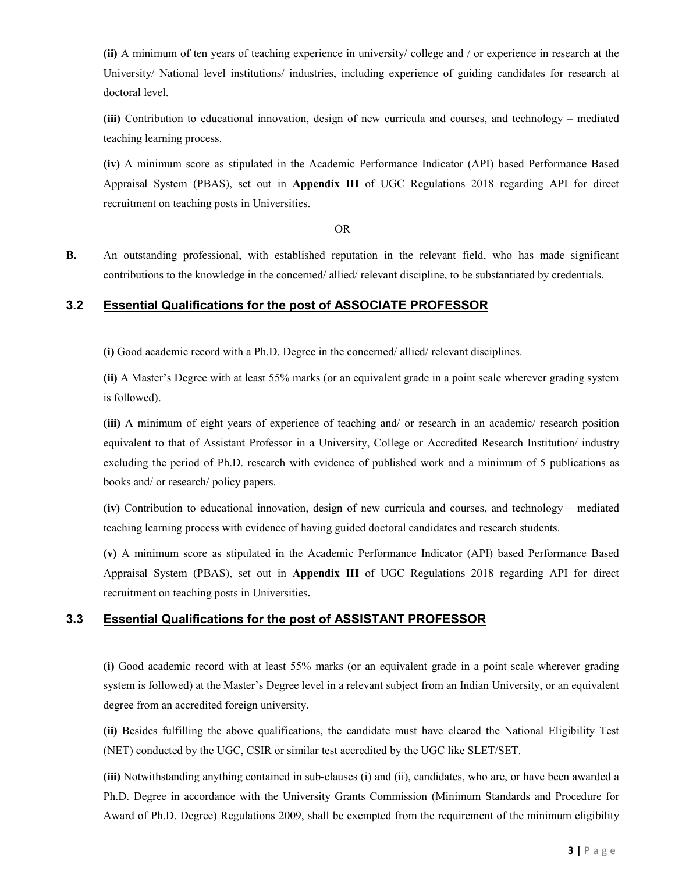**(ii)** A minimum of ten years of teaching experience in university/ college and / or experience in research at the University/ National level institutions/ industries, including experience of guiding candidates for research at doctoral level.

**(iii)** Contribution to educational innovation, design of new curricula and courses, and technology – mediated teaching learning process.

**(iv)** A minimum score as stipulated in the Academic Performance Indicator (API) based Performance Based Appraisal System (PBAS), set out in **Appendix III** of UGC Regulations 2018 regarding API for direct recruitment on teaching posts in Universities.

OR

**B.** An outstanding professional, with established reputation in the relevant field, who has made significant contributions to the knowledge in the concerned/ allied/ relevant discipline, to be substantiated by credentials.

## **3.2 Essential Qualifications for the post of ASSOCIATE PROFESSOR**

**(i)** Good academic record with a Ph.D. Degree in the concerned/ allied/ relevant disciplines.

**(ii)** A Master's Degree with at least 55% marks (or an equivalent grade in a point scale wherever grading system is followed).

**(iii)** A minimum of eight years of experience of teaching and/ or research in an academic/ research position equivalent to that of Assistant Professor in a University, College or Accredited Research Institution/ industry excluding the period of Ph.D. research with evidence of published work and a minimum of 5 publications as books and/ or research/ policy papers.

**(iv)** Contribution to educational innovation, design of new curricula and courses, and technology – mediated teaching learning process with evidence of having guided doctoral candidates and research students.

**(v)** A minimum score as stipulated in the Academic Performance Indicator (API) based Performance Based Appraisal System (PBAS), set out in **Appendix III** of UGC Regulations 2018 regarding API for direct recruitment on teaching posts in Universities**.** 

## **3.3 Essential Qualifications for the post of ASSISTANT PROFESSOR**

**(i)** Good academic record with at least 55% marks (or an equivalent grade in a point scale wherever grading system is followed) at the Master's Degree level in a relevant subject from an Indian University, or an equivalent degree from an accredited foreign university.

**(ii)** Besides fulfilling the above qualifications, the candidate must have cleared the National Eligibility Test (NET) conducted by the UGC, CSIR or similar test accredited by the UGC like SLET/SET.

**(iii)** Notwithstanding anything contained in sub-clauses (i) and (ii), candidates, who are, or have been awarded a Ph.D. Degree in accordance with the University Grants Commission (Minimum Standards and Procedure for Award of Ph.D. Degree) Regulations 2009, shall be exempted from the requirement of the minimum eligibility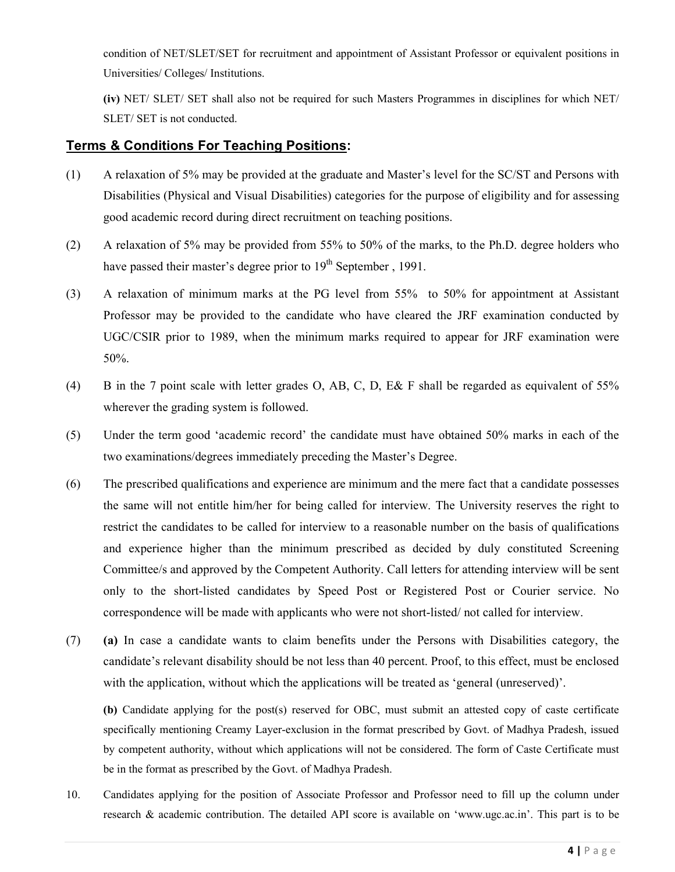condition of NET/SLET/SET for recruitment and appointment of Assistant Professor or equivalent positions in Universities/ Colleges/ Institutions.

**(iv)** NET/ SLET/ SET shall also not be required for such Masters Programmes in disciplines for which NET/ SLET/ SET is not conducted.

## **Terms & Conditions For Teaching Positions:**

- (1) A relaxation of 5% may be provided at the graduate and Master's level for the SC/ST and Persons with Disabilities (Physical and Visual Disabilities) categories for the purpose of eligibility and for assessing good academic record during direct recruitment on teaching positions.
- (2) A relaxation of 5% may be provided from 55% to 50% of the marks, to the Ph.D. degree holders who have passed their master's degree prior to  $19<sup>th</sup>$  September, 1991.
- (3) A relaxation of minimum marks at the PG level from 55% to 50% for appointment at Assistant Professor may be provided to the candidate who have cleared the JRF examination conducted by UGC/CSIR prior to 1989, when the minimum marks required to appear for JRF examination were 50%.
- (4) B in the 7 point scale with letter grades O, AB, C, D, E& F shall be regarded as equivalent of 55% wherever the grading system is followed.
- (5) Under the term good 'academic record' the candidate must have obtained 50% marks in each of the two examinations/degrees immediately preceding the Master's Degree.
- (6) The prescribed qualifications and experience are minimum and the mere fact that a candidate possesses the same will not entitle him/her for being called for interview. The University reserves the right to restrict the candidates to be called for interview to a reasonable number on the basis of qualifications and experience higher than the minimum prescribed as decided by duly constituted Screening Committee/s and approved by the Competent Authority. Call letters for attending interview will be sent only to the short-listed candidates by Speed Post or Registered Post or Courier service. No correspondence will be made with applicants who were not short-listed/ not called for interview.
- (7) **(a)** In case a candidate wants to claim benefits under the Persons with Disabilities category, the candidate's relevant disability should be not less than 40 percent. Proof, to this effect, must be enclosed with the application, without which the applications will be treated as 'general (unreserved)'.

**(b)** Candidate applying for the post(s) reserved for OBC, must submit an attested copy of caste certificate specifically mentioning Creamy Layer-exclusion in the format prescribed by Govt. of Madhya Pradesh, issued by competent authority, without which applications will not be considered. The form of Caste Certificate must be in the format as prescribed by the Govt. of Madhya Pradesh.

10. Candidates applying for the position of Associate Professor and Professor need to fill up the column under research & academic contribution. The detailed API score is available on 'www.ugc.ac.in'. This part is to be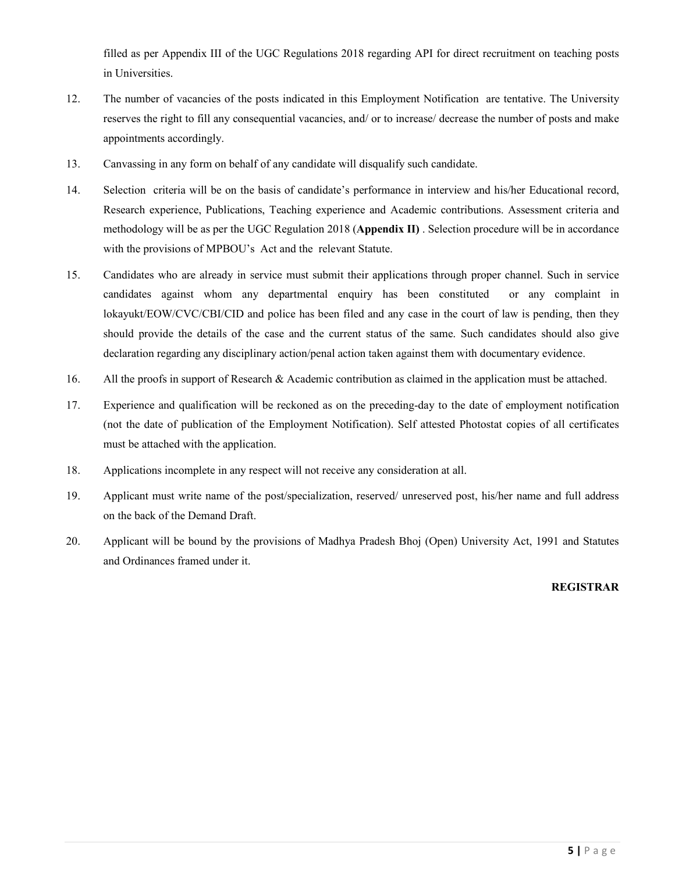filled as per Appendix III of the UGC Regulations 2018 regarding API for direct recruitment on teaching posts in Universities.

- 12. The number of vacancies of the posts indicated in this Employment Notification are tentative. The University reserves the right to fill any consequential vacancies, and/ or to increase/ decrease the number of posts and make appointments accordingly.
- 13. Canvassing in any form on behalf of any candidate will disqualify such candidate.
- 14. Selection criteria will be on the basis of candidate's performance in interview and his/her Educational record, Research experience, Publications, Teaching experience and Academic contributions. Assessment criteria and methodology will be as per the UGC Regulation 2018 (**Appendix II)** . Selection procedure will be in accordance with the provisions of MPBOU's Act and the relevant Statute.
- 15. Candidates who are already in service must submit their applications through proper channel. Such in service candidates against whom any departmental enquiry has been constituted or any complaint in lokayukt/EOW/CVC/CBI/CID and police has been filed and any case in the court of law is pending, then they should provide the details of the case and the current status of the same. Such candidates should also give declaration regarding any disciplinary action/penal action taken against them with documentary evidence.
- 16. All the proofs in support of Research & Academic contribution as claimed in the application must be attached.
- 17. Experience and qualification will be reckoned as on the preceding-day to the date of employment notification (not the date of publication of the Employment Notification). Self attested Photostat copies of all certificates must be attached with the application.
- 18. Applications incomplete in any respect will not receive any consideration at all.
- 19. Applicant must write name of the post/specialization, reserved/ unreserved post, his/her name and full address on the back of the Demand Draft.
- 20. Applicant will be bound by the provisions of Madhya Pradesh Bhoj (Open) University Act, 1991 and Statutes and Ordinances framed under it.

### **REGISTRAR**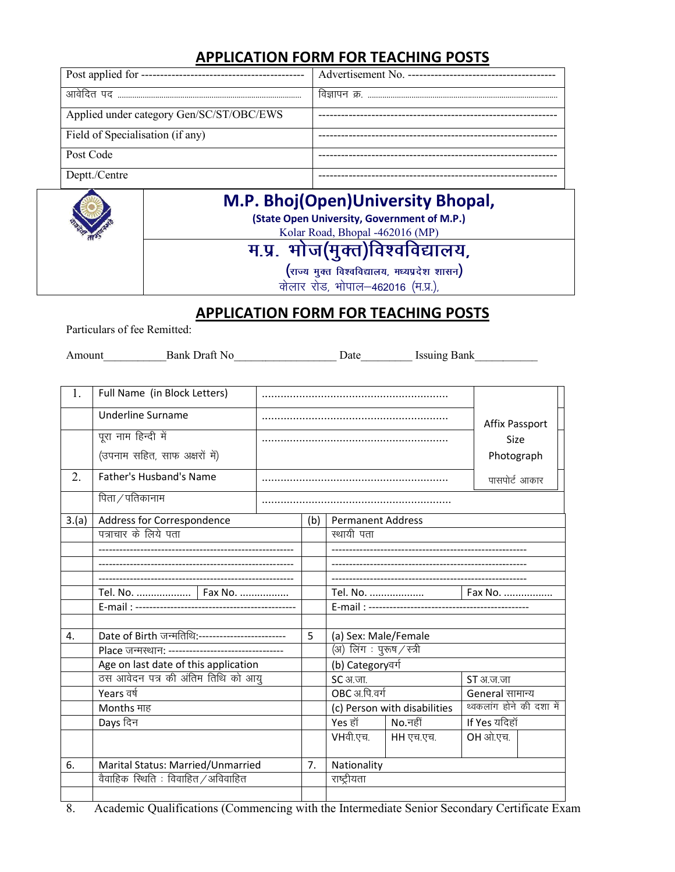# **APPLICATION FORM FOR TEACHING POSTS**

| Post applied for ---------------         | Advertisement No. -------------- |
|------------------------------------------|----------------------------------|
|                                          |                                  |
| Applied under category Gen/SC/ST/OBC/EWS |                                  |
| Field of Specialisation (if any)         |                                  |
| Post Code                                |                                  |
| Deptt./Centre                            |                                  |



# **M.P. Bhoj(Open) Bhoj(Open)University Bhopal,**

**(State Open University, Government of M.P.)** 

Kolar Road, Bhopal -462016 (MP)

म.प्र. भोज(मुक्त)विश्वविद्यालय,

 $\left($ राज्य मुक्त विश्वविद्यालय, मध्यप्रदेश शासन)

*कोलार रोड, भोपाल-462016 (म.प्र.),* 

# **APPLICATION FORM FOR TEACHING POSTS**

Particulars of fee Remitted:

| Bank Draft No<br>Amount | Jate | Issuing Bank |
|-------------------------|------|--------------|
|-------------------------|------|--------------|

| 1.    | Full Name (in Block Letters)                                                               |             |     |                          |                              |                          |
|-------|--------------------------------------------------------------------------------------------|-------------|-----|--------------------------|------------------------------|--------------------------|
|       | <b>Underline Surname</b>                                                                   |             |     | <b>Affix Passport</b>    |                              |                          |
|       | पूरा नाम हिन्दी में                                                                        |             |     |                          |                              | Size                     |
|       | (उपनाम सहित, साफ अक्षरों में)                                                              |             |     |                          |                              | Photograph               |
| 2.    | Father's Husband's Name                                                                    |             |     |                          |                              | पासपोर्ट आकार            |
|       | पिता / पतिकानाम                                                                            |             |     |                          |                              |                          |
| 3.(a) | Address for Correspondence                                                                 |             | (b) | <b>Permanent Address</b> |                              |                          |
|       | पत्राचार के लिये पता                                                                       |             |     | स्थायी पता               |                              |                          |
|       |                                                                                            |             |     |                          |                              |                          |
|       |                                                                                            |             |     |                          |                              |                          |
|       |                                                                                            |             |     |                          |                              |                          |
|       | Tel. No.    Fax No.                                                                        |             |     | Tel. No.<br>Fax No.      |                              |                          |
|       |                                                                                            |             |     |                          |                              |                          |
|       |                                                                                            |             |     |                          |                              |                          |
| 4.    | Date of Birth जन्मतिथि:-------------------------                                           |             | 5   | (a) Sex: Male/Female     |                              |                          |
|       | Place जन्मस्थान: ---------------------------------                                         |             |     | (अ) लिंग: पुरुष / स्त्री |                              |                          |
|       | Age on last date of this application                                                       |             |     | (b) Categoryवर्ग         |                              |                          |
|       | ठस आवेदन पत्र की अंतिम तिथि को आयु                                                         |             |     | <b>SC अ.जा.</b>          |                              | ST अ.ज.जा                |
|       | Years वर्ष                                                                                 |             |     | OBC अ.पि.वर्ग            |                              | General सामान्य          |
|       | Months माह                                                                                 |             |     |                          | (c) Person with disabilities | थ्वकलांग होने की दशा में |
|       | Days दिन                                                                                   |             |     | Yes हॉ                   | $No.$ नहीं                   | If Yes यदिहॉ             |
|       |                                                                                            |             |     | VHवी.एच.                 | HH एच.एच.                    | OH ओ.एच.                 |
| 6.    | Marital Status: Married/Unmarried                                                          |             | 7.  | Nationality              |                              |                          |
|       | वैवाहिक स्थिति : विवाहित/अविवाहित                                                          | राष्ट्रीयता |     |                          |                              |                          |
|       |                                                                                            |             |     |                          |                              |                          |
| 8.    | Academic Qualifications (Commencing with the Intermediate Senior Secondary Certificate Ex- |             |     |                          |                              |                          |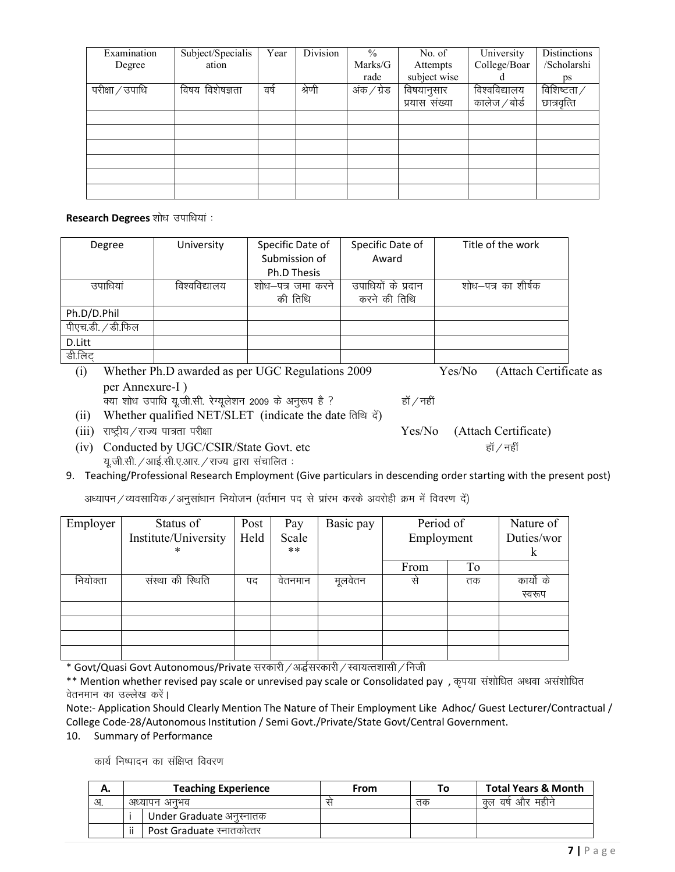| Examination     | Subject/Specialis | Year  | Division | $\frac{0}{0}$ | No. of        | University    | Distinctions |
|-----------------|-------------------|-------|----------|---------------|---------------|---------------|--------------|
| Degree          | ation             |       |          | Marks/G       | Attempts      | College/Boar  | /Scholarshi  |
|                 |                   |       |          | rade          | subject wise  |               | ps           |
| परीक्षा / उपाधि | विषय विशेषज्ञता   | वर्षे | श्रेणी   | अंक / ग्रेड   | विषयानुसार    | विश्वविद्यालय | विशिष्टता/   |
|                 |                   |       |          |               | प्रयास संख्या | कालेज ⁄ बोर्ड | छात्रवृत्ति  |
|                 |                   |       |          |               |               |               |              |
|                 |                   |       |          |               |               |               |              |
|                 |                   |       |          |               |               |               |              |
|                 |                   |       |          |               |               |               |              |
|                 |                   |       |          |               |               |               |              |
|                 |                   |       |          |               |               |               |              |

**Research Degrees** शोध उपाधियां :

| Degree                      | University                                                                                                                                                            | Specific Date of   | Specific Date of   | Title of the work                                                      |
|-----------------------------|-----------------------------------------------------------------------------------------------------------------------------------------------------------------------|--------------------|--------------------|------------------------------------------------------------------------|
|                             |                                                                                                                                                                       | Submission of      | Award              |                                                                        |
|                             |                                                                                                                                                                       | <b>Ph.D Thesis</b> |                    |                                                                        |
| उपाधियां                    | विश्वविद्यालय                                                                                                                                                         | शोध–पत्र जमा करने  | उपाधियों के प्रदान | शोध–पत्र का शीर्षक                                                     |
|                             |                                                                                                                                                                       | की तिथि            | करने की तिथि       |                                                                        |
| Ph.D/D.Phil                 |                                                                                                                                                                       |                    |                    |                                                                        |
| पीएच.डी. / डी.फिल           |                                                                                                                                                                       |                    |                    |                                                                        |
| D.Litt                      |                                                                                                                                                                       |                    |                    |                                                                        |
| डी.लिट्                     |                                                                                                                                                                       |                    |                    |                                                                        |
| $\left( \mathbb{R} \right)$ | $M_{1}^{1}$ , $M_{2}^{1}$ , $M_{3}^{1}$ , $D_{3}^{1}$ , $M_{4}^{1}$ , $M_{5}^{1}$ , $M_{5}^{1}$ , $M_{6}^{1}$ , $D_{5}^{1}$ , $M_{1}^{1}$ , $M_{2}^{1}$ , $M_{1}^{1}$ |                    |                    | $(A_{H}A_{L})$ $A_{L}A_{L}$<br>$\mathbf{V}$ $ \mathbf{N}$ $\mathbf{V}$ |

- (i) Whether Ph.D awarded as per UGC Regulations 2009 Yes/No (Attach Certificate as per Annexure-I )
	- *D;k 'kks/k mikf/k ;w-th-lh- jsX; wy s'ku 2009 d s vuq:i gS \ gkW@ugha*
- (ii) Whether qualified NET/SLET (indicate the date तिथि *दें*)
- 
- (iv) Conducted by UGC/CSIR/State Govt. etc *हॉ* / नहीं *यू.जी.सी. / आई.सी.ए.आर. / राज्य द्वारा संचालित*:
- 9. Teaching/Professional Research Employment (Give particulars in descending order starting with the present post)

*अ*ध्यापन / व्यवसायिक / अनुसांधान नियोजन (वर्तमान पद से प्रांरभ करके अवरोही क्रम में विवरण दें)

| Employer | Status of<br>Institute/University<br>* | Post<br>Held | Pay<br>Scale<br>$***$ | Basic pay     | Period of<br>Employment |    | Nature of<br>Duties/wor<br>K |
|----------|----------------------------------------|--------------|-----------------------|---------------|-------------------------|----|------------------------------|
|          |                                        |              |                       |               | From                    | To |                              |
| नियोक्ता | संस्था की स्थिति                       | पद           | वेतनमान               | मूलवेतन       | से                      | तक | कार्यो के                    |
|          |                                        |              |                       |               |                         |    | स्वरूप                       |
|          |                                        |              |                       |               |                         |    |                              |
|          |                                        |              |                       |               |                         |    |                              |
|          |                                        |              |                       |               |                         |    |                              |
|          |                                        |              | $\sim$ $\sim$ $\sim$  | $\sim$ $\sim$ | $\sim$ . $\sim$ $\sim$  |    |                              |

\* Govt/Quasi Govt Autonomous/Private सरकारी */* अर्द्धसरकारी */* स्वायत्तशासी */* निजी

\*\* Mention whether revised pay scale or unrevised pay scale or Consolidated pay, कृपया संशोधित अथवा असंशोधित **वेतनमान का उल्लेख करें।** 

Note:- Application Should Clearly Mention The Nature of Their Employment Like Adhoc/ Guest Lecturer/Contractual / College Code-28/Autonomous Institution / Semi Govt./Private/State Govt/Central Government.

10. Summary of Performance

*का*र्य निष्पादन का संक्षिप्त विवरण

| А.   |    | <b>Teaching Experience</b> | From | То | <b>Total Years &amp; Month</b> |
|------|----|----------------------------|------|----|--------------------------------|
| - अ. |    | अध्यापन अनभव               |      | तक | क्ल वर्ष और महीने              |
|      |    | Under Graduate अनुस्नातक   |      |    |                                |
|      | ii | Post Graduate स्नातकोत्तर  |      |    |                                |

(iii) राष्ट्रीय / राज्य पात्रता परीक्षा *if* and the set of the Yes/No (Attach Certificate)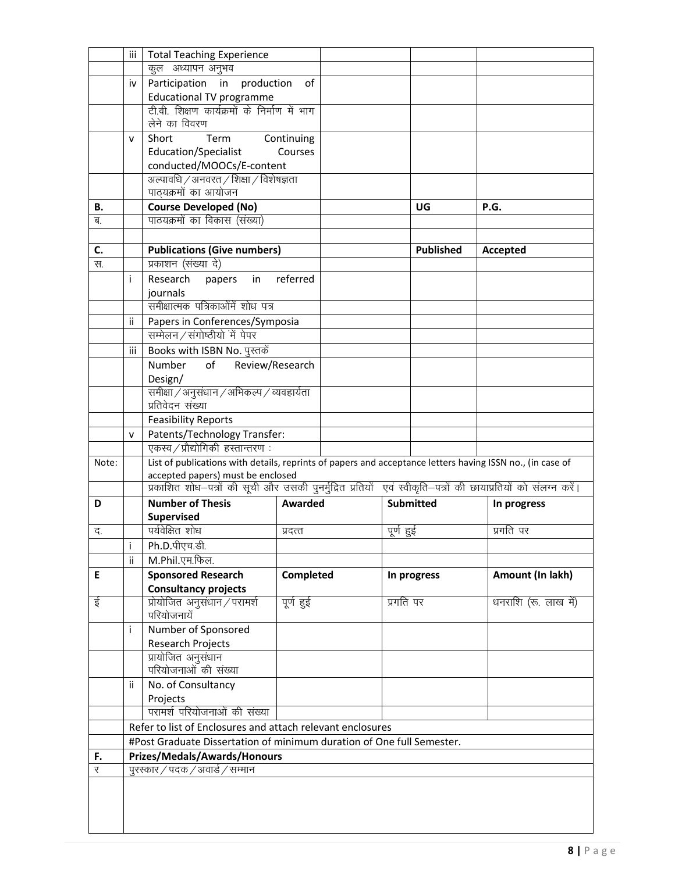|       | iii          | <b>Total Teaching Experience</b>                                                                              |                  |           |                  |                      |
|-------|--------------|---------------------------------------------------------------------------------------------------------------|------------------|-----------|------------------|----------------------|
|       |              | कूल अध्यापन अनुभव                                                                                             |                  |           |                  |                      |
|       | iv           | Participation in production                                                                                   | 0f               |           |                  |                      |
|       |              | <b>Educational TV programme</b>                                                                               |                  |           |                  |                      |
|       |              | टी.वी. शिक्षण कार्यक्रमों के निर्माण में भाग                                                                  |                  |           |                  |                      |
|       |              | लेने का विवरण                                                                                                 |                  |           |                  |                      |
|       | v            | Term<br>Short                                                                                                 | Continuing       |           |                  |                      |
|       |              | Education/Specialist                                                                                          | Courses          |           |                  |                      |
|       |              | conducted/MOOCs/E-content                                                                                     |                  |           |                  |                      |
|       |              | अल्पावधि / अनवरत / शिक्षा / विशेषज्ञता                                                                        |                  |           |                  |                      |
|       |              | पाठयक्रमों का आयोजन                                                                                           |                  |           |                  |                      |
| В.    |              | <b>Course Developed (No)</b>                                                                                  |                  |           | UG               | P.G.                 |
| ब.    |              | पाठयक्रमों का विकास (संख्या)                                                                                  |                  |           |                  |                      |
|       |              |                                                                                                               |                  |           |                  |                      |
| C.    |              | <b>Publications (Give numbers)</b>                                                                            |                  |           | <b>Published</b> | Accepted             |
| स.    |              | प्रकाशन (संख्या दे)                                                                                           |                  |           |                  |                      |
|       | Ť            | Research<br>papers<br>in                                                                                      | referred         |           |                  |                      |
|       |              | journals<br>समीक्षात्मक पत्रिकाओंमें शोध पत्र                                                                 |                  |           |                  |                      |
|       |              |                                                                                                               |                  |           |                  |                      |
|       | ii.          | Papers in Conferences/Symposia                                                                                |                  |           |                  |                      |
|       |              | सम्मेलन / संगोष्ठीयों में पेपर                                                                                |                  |           |                  |                      |
|       | iii          | Books with ISBN No. पुस्तकें                                                                                  |                  |           |                  |                      |
|       |              | Number<br>of                                                                                                  | Review/Research  |           |                  |                      |
|       |              | Design/                                                                                                       |                  |           |                  |                      |
|       |              | समीक्षा / अनुसंधान / अभिकल्प / व्यवहार्यता<br>प्रतिवेदन संख्या                                                |                  |           |                  |                      |
|       |              | <b>Feasibility Reports</b>                                                                                    |                  |           |                  |                      |
|       |              |                                                                                                               |                  |           |                  |                      |
|       | $\mathsf{v}$ | Patents/Technology Transfer:<br>एकस्व / प्रौद्योगिकी हस्तान्तरण:                                              |                  |           |                  |                      |
| Note: |              | List of publications with details, reprints of papers and acceptance letters having ISSN no., (in case of     |                  |           |                  |                      |
|       |              | accepted papers) must be enclosed                                                                             |                  |           |                  |                      |
|       |              | प्रकाशित शोध–पत्रों की सूची और उसकी पुनर्मुद्रित प्रतियों एवं स्वीकृति–पत्रों की छायाप्रतियों को संलग्न करें। |                  |           |                  |                      |
| D     |              | <b>Number of Thesis</b>                                                                                       | Awarded          |           | <b>Submitted</b> | In progress          |
|       |              | Supervised                                                                                                    |                  |           |                  |                      |
| द.    |              | पर्यवेक्षित शोध                                                                                               | प्रदत्त          | पूर्ण हुई |                  | प्रगति पर            |
|       | i            | Ph.D.पीएच.डी.                                                                                                 |                  |           |                  |                      |
|       | ii           | M.Phil.एम.फिल.                                                                                                |                  |           |                  |                      |
| E     |              | <b>Sponsored Research</b>                                                                                     | <b>Completed</b> |           | In progress      | Amount (In lakh)     |
|       |              | <b>Consultancy projects</b>                                                                                   |                  |           |                  |                      |
| ई     |              | प्रोयोजित अनुसंधान / परामर्श<br>परियोजनायें                                                                   | पूर्ण हुई        | प्रगति पर |                  | धनराशि (रू. लाख में) |
|       | Ť            | Number of Sponsored                                                                                           |                  |           |                  |                      |
|       |              | Research Projects                                                                                             |                  |           |                  |                      |
|       |              | प्रायोजित अनुसंधान                                                                                            |                  |           |                  |                      |
|       |              | परियोजनाओं की संख्या                                                                                          |                  |           |                  |                      |
|       | ii           | No. of Consultancy                                                                                            |                  |           |                  |                      |
|       |              | Projects                                                                                                      |                  |           |                  |                      |
|       |              | परामर्श परियोजनाओं की संख्या                                                                                  |                  |           |                  |                      |
|       |              | Refer to list of Enclosures and attach relevant enclosures                                                    |                  |           |                  |                      |
|       |              | #Post Graduate Dissertation of minimum duration of One full Semester.                                         |                  |           |                  |                      |
| F.    |              | Prizes/Medals/Awards/Honours                                                                                  |                  |           |                  |                      |
| र     |              | पुरस्कार / पदक / अवार्ड / सम्मान                                                                              |                  |           |                  |                      |
|       |              |                                                                                                               |                  |           |                  |                      |
|       |              |                                                                                                               |                  |           |                  |                      |
|       |              |                                                                                                               |                  |           |                  |                      |
|       |              |                                                                                                               |                  |           |                  |                      |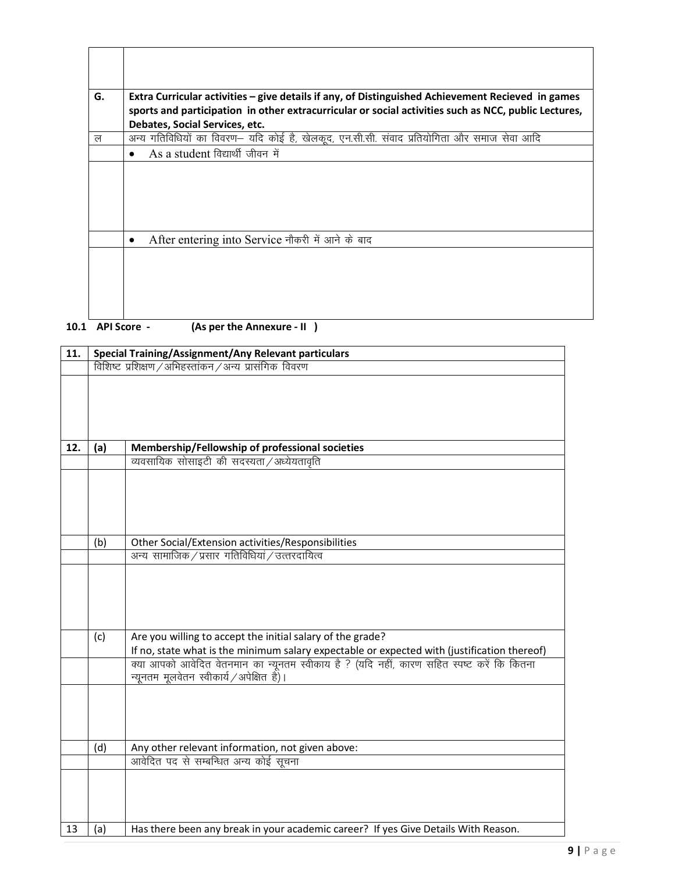| G. | Extra Curricular activities - give details if any, of Distinguished Achievement Recieved in games                                      |
|----|----------------------------------------------------------------------------------------------------------------------------------------|
|    | sports and participation in other extracurricular or social activities such as NCC, public Lectures,<br>Debates, Social Services, etc. |
| ल  | अन्य गतिविधियों का विवरण- यदि कोई है, खेलकूद, एन.सी.सी. संवाद प्रतियोगिता और समाज सेवा आदि                                             |
|    | As a student विद्यार्थी जीवन में                                                                                                       |
|    |                                                                                                                                        |
|    |                                                                                                                                        |
|    |                                                                                                                                        |
|    |                                                                                                                                        |
|    | After entering into Service नौकरी में आने के बाद                                                                                       |
|    |                                                                                                                                        |
|    |                                                                                                                                        |
|    |                                                                                                                                        |
|    |                                                                                                                                        |
|    |                                                                                                                                        |

Ē

**10.1** API Score - (As per the Annexure - II)

| 11. | <b>Special Training/Assignment/Any Relevant particulars</b> |                                                                                                                                                           |  |  |  |  |  |  |
|-----|-------------------------------------------------------------|-----------------------------------------------------------------------------------------------------------------------------------------------------------|--|--|--|--|--|--|
|     | विशिष्ट प्रशिक्षण / अभिहस्तांकन / अन्य प्रासंगिक विवरण      |                                                                                                                                                           |  |  |  |  |  |  |
|     |                                                             |                                                                                                                                                           |  |  |  |  |  |  |
| 12. | (a)                                                         | Membership/Fellowship of professional societies                                                                                                           |  |  |  |  |  |  |
|     |                                                             | व्यवसायिक सोसाइटी की सदस्यता / अध्येयतावृति                                                                                                               |  |  |  |  |  |  |
|     |                                                             |                                                                                                                                                           |  |  |  |  |  |  |
|     | (b)                                                         | Other Social/Extension activities/Responsibilities                                                                                                        |  |  |  |  |  |  |
|     |                                                             | अन्य सामाजिक / प्रसार गतिविधियां / उत्तरदायित्व                                                                                                           |  |  |  |  |  |  |
|     | (c)                                                         | Are you willing to accept the initial salary of the grade?<br>If no, state what is the minimum salary expectable or expected with (justification thereof) |  |  |  |  |  |  |
|     |                                                             | क्या आपको आवेदित वेतनमान का न्यूनतम स्वीकाय है ? (यदि नहीं, कारण सहित स्पष्ट करें कि कितना<br>न्यूनतम मूलवेतन स्वीकार्य / अपेक्षित है)।                   |  |  |  |  |  |  |
|     |                                                             |                                                                                                                                                           |  |  |  |  |  |  |
|     | (d)                                                         | Any other relevant information, not given above:                                                                                                          |  |  |  |  |  |  |
|     |                                                             | आवेदित पद से सम्बन्धित अन्य कोई सूचना                                                                                                                     |  |  |  |  |  |  |
| 13  | (a)                                                         | Has there been any break in your academic career? If yes Give Details With Reason.                                                                        |  |  |  |  |  |  |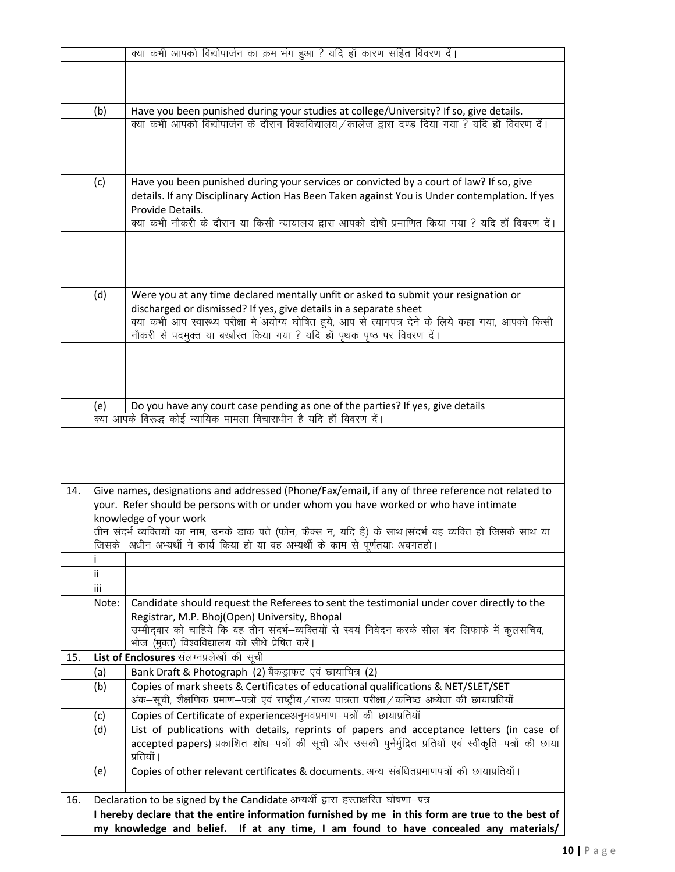|     |                                                                                      | क्या कभी आपको विद्योपार्जन का क्रम भंग हुआ ? यदि हाँ कारण सहित विवरण दें।                                           |  |  |  |  |
|-----|--------------------------------------------------------------------------------------|---------------------------------------------------------------------------------------------------------------------|--|--|--|--|
|     |                                                                                      |                                                                                                                     |  |  |  |  |
|     |                                                                                      |                                                                                                                     |  |  |  |  |
|     |                                                                                      |                                                                                                                     |  |  |  |  |
|     | (b)                                                                                  | Have you been punished during your studies at college/University? If so, give details.                              |  |  |  |  |
|     |                                                                                      | क्या कभी आपको विद्योपार्जन के दौरान विश्वविद्यालय/कालेज द्वारा दण्ड दिया गया ? यदि हॉ विवरण दें।                    |  |  |  |  |
|     |                                                                                      |                                                                                                                     |  |  |  |  |
|     |                                                                                      |                                                                                                                     |  |  |  |  |
|     |                                                                                      |                                                                                                                     |  |  |  |  |
|     | (c)                                                                                  | Have you been punished during your services or convicted by a court of law? If so, give                             |  |  |  |  |
|     |                                                                                      | details. If any Disciplinary Action Has Been Taken against You is Under contemplation. If yes                       |  |  |  |  |
|     |                                                                                      | Provide Details.<br>क्या कभी नौकरी के दौरान या किसी न्यायालय द्वारा आपको दोषी प्रमाणित किया गया ? यदि हॉ विवरण दें। |  |  |  |  |
|     |                                                                                      |                                                                                                                     |  |  |  |  |
|     |                                                                                      |                                                                                                                     |  |  |  |  |
|     |                                                                                      |                                                                                                                     |  |  |  |  |
|     |                                                                                      |                                                                                                                     |  |  |  |  |
|     |                                                                                      | Were you at any time declared mentally unfit or asked to submit your resignation or                                 |  |  |  |  |
|     | (d)                                                                                  | discharged or dismissed? If yes, give details in a separate sheet                                                   |  |  |  |  |
|     |                                                                                      | क्या कभी आप स्वास्थ्य परीक्षा में अयोग्य घोषित हुये, आप से त्यागपत्र देने के लिये कहा गया, आपको किसी                |  |  |  |  |
|     |                                                                                      | नौकरी से पदमुक्त या बर्खास्त किया गया ? यदि हॉ पृथक पृष्ठ पर विवरण दें।                                             |  |  |  |  |
|     |                                                                                      |                                                                                                                     |  |  |  |  |
|     |                                                                                      |                                                                                                                     |  |  |  |  |
|     |                                                                                      |                                                                                                                     |  |  |  |  |
|     |                                                                                      |                                                                                                                     |  |  |  |  |
|     | (e)                                                                                  | Do you have any court case pending as one of the parties? If yes, give details                                      |  |  |  |  |
|     |                                                                                      | क्या आपके विरूद्ध कोई न्यायिक मामला विचाराधीन है यदि हाँ विवरण दें।                                                 |  |  |  |  |
|     |                                                                                      |                                                                                                                     |  |  |  |  |
|     |                                                                                      |                                                                                                                     |  |  |  |  |
|     |                                                                                      |                                                                                                                     |  |  |  |  |
|     |                                                                                      |                                                                                                                     |  |  |  |  |
| 14. |                                                                                      | Give names, designations and addressed (Phone/Fax/email, if any of three reference not related to                   |  |  |  |  |
|     |                                                                                      | your. Refer should be persons with or under whom you have worked or who have intimate                               |  |  |  |  |
|     |                                                                                      | knowledge of your work                                                                                              |  |  |  |  |
|     |                                                                                      | तीन संदर्भ व्यक्तियों का नाम, उनके डाक पते (फोन, फैक्स न, यदि है) के साथ  संदर्भ वह व्यक्ति हो जिसके साथ या         |  |  |  |  |
|     |                                                                                      | जिसके अधीन अभ्यर्थी ने कार्य किया हो या वह अभ्यर्थी के काम से पूर्णतयाः अवगतहो।                                     |  |  |  |  |
|     |                                                                                      |                                                                                                                     |  |  |  |  |
|     | Ϊİ                                                                                   |                                                                                                                     |  |  |  |  |
|     | iii                                                                                  |                                                                                                                     |  |  |  |  |
|     | Note:                                                                                | Candidate should request the Referees to sent the testimonial under cover directly to the                           |  |  |  |  |
|     |                                                                                      | Registrar, M.P. Bhoj(Open) University, Bhopal                                                                       |  |  |  |  |
|     |                                                                                      | उम्मीदवार को चाहिये कि वह तीन संदर्भ-व्यक्तियों से स्वयं निवेदन करके सील बंद लिफाफे में कुलसचिव,                    |  |  |  |  |
|     |                                                                                      | भोज (मुक्त) विश्वविद्यालय को सीधे प्रेषित करें।                                                                     |  |  |  |  |
| 15. |                                                                                      | List of Enclosures संलग्नप्रलेखों की सूची                                                                           |  |  |  |  |
|     | (a)                                                                                  | Bank Draft & Photograph (2) बैंकड्राफट एवं छायाचित्र (2)                                                            |  |  |  |  |
|     | (b)                                                                                  | Copies of mark sheets & Certificates of educational qualifications & NET/SLET/SET                                   |  |  |  |  |
|     |                                                                                      | अंक–सूची, शैक्षणिक प्रमाण–पत्रों एवं राष्ट्रीय/राज्य पात्रता परीक्षा/कनिष्ठ अध्येता की छायाप्रतियाँ                 |  |  |  |  |
|     | (c)                                                                                  | Copies of Certificate of experienceअनुभवप्रमाण-पत्रों की छायाप्रतियाँ                                               |  |  |  |  |
|     | (d)                                                                                  | List of publications with details, reprints of papers and acceptance letters (in case of                            |  |  |  |  |
|     |                                                                                      | accepted papers) प्रकाशित शोध–पत्रों की सूची और उसकी पुर्नर्मुद्रित प्रतियों एवं स्वीकृति–पत्रों की छाया            |  |  |  |  |
|     |                                                                                      | प्रतियाँ ।                                                                                                          |  |  |  |  |
|     | (e)                                                                                  | Copies of other relevant certificates & documents. अन्य संबंधितप्रमाणपत्रों की छायाप्रतियाँ।                        |  |  |  |  |
|     |                                                                                      |                                                                                                                     |  |  |  |  |
| 16. |                                                                                      | Declaration to be signed by the Candidate अभ्यर्थी द्वारा हस्ताक्षरित घोषणा-पत्र                                    |  |  |  |  |
|     |                                                                                      | I hereby declare that the entire information furnished by me in this form are true to the best of                   |  |  |  |  |
|     | my knowledge and belief. If at any time, I am found to have concealed any materials/ |                                                                                                                     |  |  |  |  |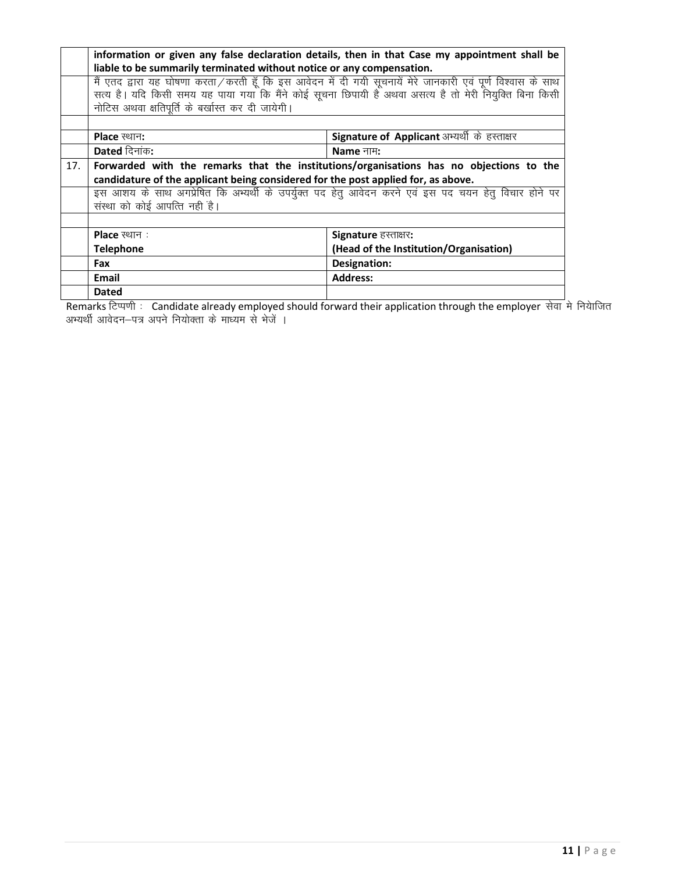|     | information or given any false declaration details, then in that Case my appointment shall be |                                                                                                             |  |  |  |  |
|-----|-----------------------------------------------------------------------------------------------|-------------------------------------------------------------------------------------------------------------|--|--|--|--|
|     | liable to be summarily terminated without notice or any compensation.                         |                                                                                                             |  |  |  |  |
|     |                                                                                               | मैं एतद द्वारा यह घोषणा करता/करती हूँ कि इस आवेदन में दी गयी सूचनायें मेरे जानकारी एवं पूर्ण विश्वास के साथ |  |  |  |  |
|     |                                                                                               | सत्य है। यदि किसी समय यह पाया गया कि मैंने कोई सूचना छिपायी हैं अथवा असत्य है तो मेरी नियुक्ति बिना किसी    |  |  |  |  |
|     | नोटिस अथवा क्षतिपूर्ति के बर्खास्त कर दी जायेगी।                                              |                                                                                                             |  |  |  |  |
|     |                                                                                               |                                                                                                             |  |  |  |  |
|     | Signature of Applicant अभ्यर्थी के हस्ताक्षर<br><b>Place</b> स्थान:                           |                                                                                                             |  |  |  |  |
|     | Dated दिनांक:<br>Name नाम:                                                                    |                                                                                                             |  |  |  |  |
| 17. |                                                                                               | Forwarded with the remarks that the institutions/organisations has no objections to the                     |  |  |  |  |
|     | candidature of the applicant being considered for the post applied for, as above.             |                                                                                                             |  |  |  |  |
|     |                                                                                               | इस आशय के साथ अगप्रेषित कि अभ्यर्थी के उपर्युक्त पद हेतु आवेदन करने एवं इस पद चयन हेतु विचार होने पर        |  |  |  |  |
|     | संस्था को कोई आपत्ति नहीं है।                                                                 |                                                                                                             |  |  |  |  |
|     |                                                                                               |                                                                                                             |  |  |  |  |
|     | <b>Place</b> स्थान:                                                                           | Signature हस्ताक्षर:                                                                                        |  |  |  |  |
|     | <b>Telephone</b>                                                                              | (Head of the Institution/Organisation)                                                                      |  |  |  |  |
|     | Fax                                                                                           | Designation:                                                                                                |  |  |  |  |
|     | Email                                                                                         | <b>Address:</b>                                                                                             |  |  |  |  |
|     | <b>Dated</b>                                                                                  |                                                                                                             |  |  |  |  |

Remarks टिप्पणी: Candidate already employed should forward their application through the employer सेवा मे नियाजित अभ्यर्थी आवेदन—पत्र अपने नियोक्ता के माध्यम से भेजें ।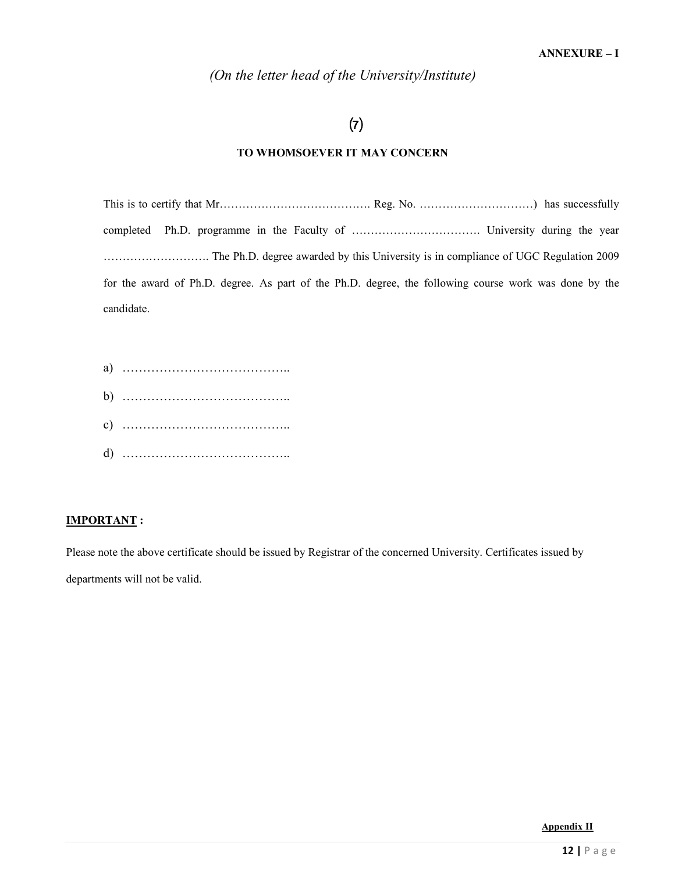*(On the letter head of the University/Institute)* 

# $(7)$

## **TO WHOMSOEVER IT MAY CONCERN**

|            | for the award of Ph.D. degree. As part of the Ph.D. degree, the following course work was done by the |  |
|------------|-------------------------------------------------------------------------------------------------------|--|
| candidate. |                                                                                                       |  |

### **IMPORTANT :**

Please note the above certificate should be issued by Registrar of the concerned University. Certificates issued by departments will not be valid.

**Appendix II**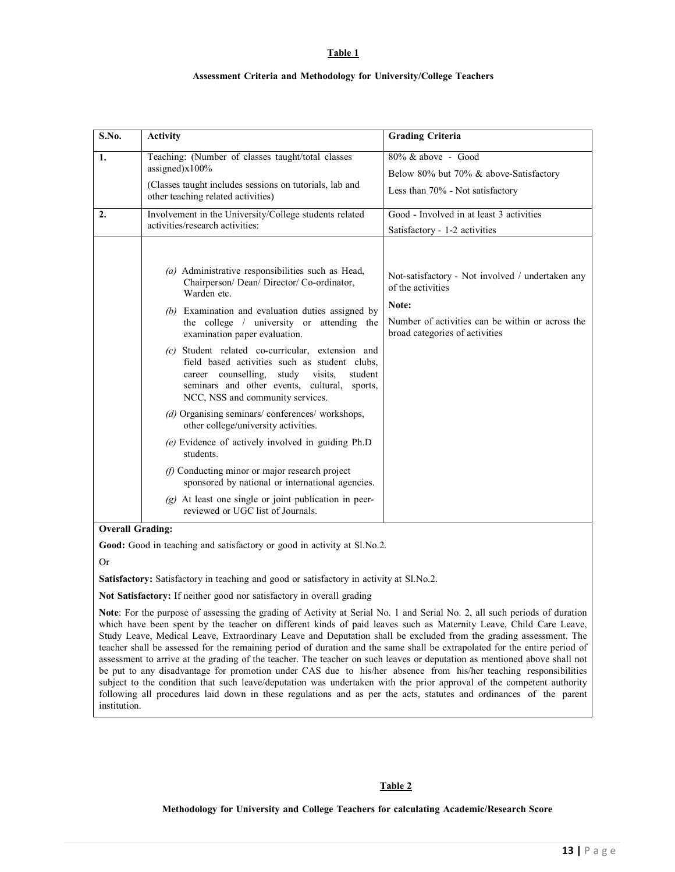**Table 1**

#### **Assessment Criteria and Methodology for University/College Teachers**

| S.No. | <b>Activity</b>                                                                                                                                                                                                                                     | <b>Grading Criteria</b>                                                                                                                                              |
|-------|-----------------------------------------------------------------------------------------------------------------------------------------------------------------------------------------------------------------------------------------------------|----------------------------------------------------------------------------------------------------------------------------------------------------------------------|
| 1.    | Teaching: (Number of classes taught/total classes<br>assigned) $x100%$<br>(Classes taught includes sessions on tutorials, lab and<br>other teaching related activities)                                                                             | $80\%$ & above - Good<br>Below 80% but 70% & above-Satisfactory<br>Less than 70% - Not satisfactory                                                                  |
| 2.    | Involvement in the University/College students related<br>activities/research activities:                                                                                                                                                           | Good - Involved in at least 3 activities<br>Satisfactory - 1-2 activities                                                                                            |
|       | $(a)$ Administrative responsibilities such as Head,<br>Chairperson/ Dean/ Director/ Co-ordinator,<br>Warden etc.<br>(b) Examination and evaluation duties assigned by<br>the college / university or attending the<br>examination paper evaluation. | Not-satisfactory - Not involved / undertaken any<br>of the activities<br>Note:<br>Number of activities can be within or across the<br>broad categories of activities |
|       | (c) Student related co-curricular, extension and<br>field based activities such as student clubs,<br>career counselling,<br>study visits,<br>student<br>seminars and other events, cultural,<br>sports,<br>NCC, NSS and community services.         |                                                                                                                                                                      |
|       | (d) Organising seminars/conferences/workshops,<br>other college/university activities.                                                                                                                                                              |                                                                                                                                                                      |
|       | $(e)$ Evidence of actively involved in guiding Ph.D<br>students.                                                                                                                                                                                    |                                                                                                                                                                      |
|       | $(f)$ Conducting minor or major research project<br>sponsored by national or international agencies.                                                                                                                                                |                                                                                                                                                                      |
|       | $(g)$ At least one single or joint publication in peer-<br>reviewed or UGC list of Journals.                                                                                                                                                        |                                                                                                                                                                      |

Or

**Satisfactory:** Satisfactory in teaching and good or satisfactory in activity at Sl.No.2.

**Not Satisfactory:** If neither good nor satisfactory in overall grading

**Note**: For the purpose of assessing the grading of Activity at Serial No. 1 and Serial No. 2, all such periods of duration which have been spent by the teacher on different kinds of paid leaves such as Maternity Leave, Child Care Leave, Study Leave, Medical Leave, Extraordinary Leave and Deputation shall be excluded from the grading assessment. The teacher shall be assessed for the remaining period of duration and the same shall be extrapolated for the entire period of assessment to arrive at the grading of the teacher. The teacher on such leaves or deputation as mentioned above shall not be put to any disadvantage for promotion under CAS due to his/her absence from his/her teaching responsibilities subject to the condition that such leave/deputation was undertaken with the prior approval of the competent authority following all procedures laid down in these regulations and as per the acts, statutes and ordinances of the parent institution.

#### **Table 2**

#### **Methodology for University and College Teachers for calculating Academic/Research Score**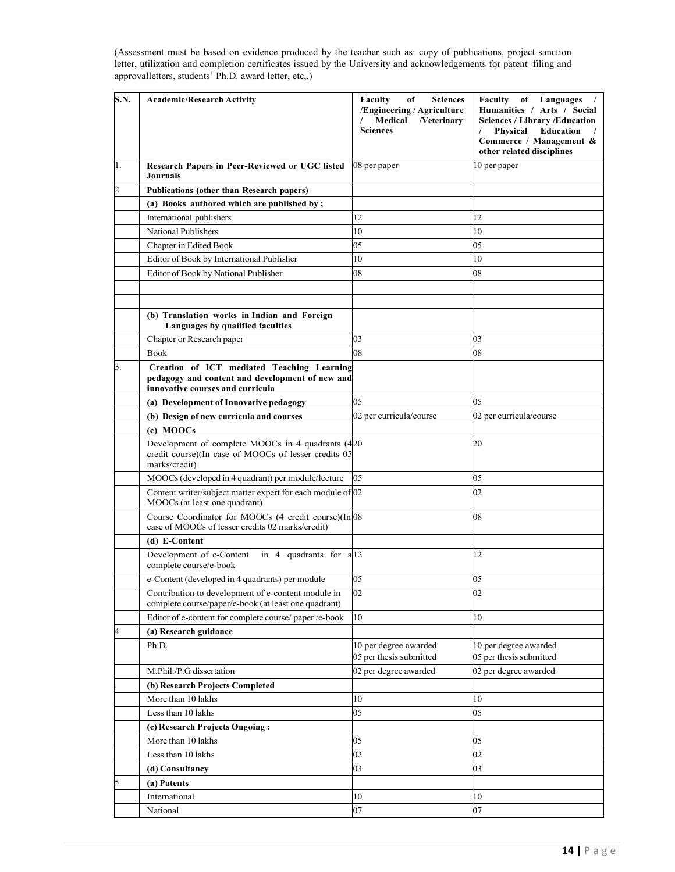(Assessment must be based on evidence produced by the teacher such as: copy of publications, project sanction letter, utilization and completion certificates issued by the University and acknowledgements for patent filing and approval letters, students' Ph.D. award letter, etc,.)

| <b>S.N.</b>    | <b>Academic/Research Activity</b>                                                                                                 | Faculty<br><b>Sciences</b><br>of<br>/Engineering / Agriculture<br>Medical<br>/Veterinary<br><b>Sciences</b> | Faculty<br>of Languages<br>Humanities / Arts / Social<br><b>Sciences / Library /Education</b><br>Physical<br><b>Education</b><br>Commerce / Management &<br>other related disciplines |
|----------------|-----------------------------------------------------------------------------------------------------------------------------------|-------------------------------------------------------------------------------------------------------------|---------------------------------------------------------------------------------------------------------------------------------------------------------------------------------------|
| 1.             | Research Papers in Peer-Reviewed or UGC listed<br><b>Journals</b>                                                                 | 08 per paper                                                                                                | 10 per paper                                                                                                                                                                          |
| $\overline{c}$ | Publications (other than Research papers)                                                                                         |                                                                                                             |                                                                                                                                                                                       |
|                | (a) Books authored which are published by;                                                                                        |                                                                                                             |                                                                                                                                                                                       |
|                | International publishers                                                                                                          | 12                                                                                                          | 12                                                                                                                                                                                    |
|                | <b>National Publishers</b>                                                                                                        | 10                                                                                                          | 10                                                                                                                                                                                    |
|                | Chapter in Edited Book                                                                                                            | 05                                                                                                          | 05                                                                                                                                                                                    |
|                | Editor of Book by International Publisher                                                                                         | 10                                                                                                          | 10                                                                                                                                                                                    |
|                | Editor of Book by National Publisher                                                                                              | 08                                                                                                          | 08                                                                                                                                                                                    |
|                |                                                                                                                                   |                                                                                                             |                                                                                                                                                                                       |
|                |                                                                                                                                   |                                                                                                             |                                                                                                                                                                                       |
|                | (b) Translation works in Indian and Foreign<br>Languages by qualified faculties                                                   |                                                                                                             |                                                                                                                                                                                       |
|                | Chapter or Research paper                                                                                                         | 03                                                                                                          | 03                                                                                                                                                                                    |
|                | <b>Book</b>                                                                                                                       | 08                                                                                                          | 08                                                                                                                                                                                    |
| 3.             | Creation of ICT mediated Teaching Learning<br>pedagogy and content and development of new and<br>innovative courses and curricula |                                                                                                             |                                                                                                                                                                                       |
|                | (a) Development of Innovative pedagogy                                                                                            | 05                                                                                                          | 05                                                                                                                                                                                    |
|                | (b) Design of new curricula and courses                                                                                           | 02 per curricula/course                                                                                     | 02 per curricula/course                                                                                                                                                               |
|                | (c) MOOCs                                                                                                                         |                                                                                                             |                                                                                                                                                                                       |
|                | Development of complete MOOCs in 4 quadrants (420)<br>credit course)(In case of MOOCs of lesser credits 05<br>marks/credit)       |                                                                                                             | 20                                                                                                                                                                                    |
|                | MOOCs (developed in 4 quadrant) per module/lecture                                                                                | 05                                                                                                          | 05                                                                                                                                                                                    |
|                | Content writer/subject matter expert for each module of 02<br>MOOCs (at least one quadrant)                                       |                                                                                                             | 02                                                                                                                                                                                    |
|                | Course Coordinator for MOOCs (4 credit course)(In 08<br>case of MOOCs of lesser credits 02 marks/credit)                          |                                                                                                             | 08                                                                                                                                                                                    |
|                | (d) E-Content                                                                                                                     |                                                                                                             |                                                                                                                                                                                       |
|                | Development of e-Content<br>in 4 quadrants for a <sup>12</sup><br>complete course/e-book                                          |                                                                                                             | 12                                                                                                                                                                                    |
|                | e-Content (developed in 4 quadrants) per module                                                                                   | 05                                                                                                          | 05                                                                                                                                                                                    |
|                | Contribution to development of e-content module in<br>complete course/paper/e-book (at least one quadrant)                        | 02                                                                                                          | 02                                                                                                                                                                                    |
|                | Editor of e-content for complete course/ paper/e-book                                                                             | 10                                                                                                          | 10                                                                                                                                                                                    |
| 4              | (a) Research guidance                                                                                                             |                                                                                                             |                                                                                                                                                                                       |
|                | Ph.D.                                                                                                                             | 10 per degree awarded<br>05 per thesis submitted                                                            | 10 per degree awarded<br>05 per thesis submitted                                                                                                                                      |
|                | M.Phil./P.G dissertation                                                                                                          | 02 per degree awarded                                                                                       | 02 per degree awarded                                                                                                                                                                 |
|                | (b) Research Projects Completed                                                                                                   |                                                                                                             |                                                                                                                                                                                       |
|                | More than 10 lakhs                                                                                                                | 10                                                                                                          | 10                                                                                                                                                                                    |
|                | Less than 10 lakhs                                                                                                                | 05                                                                                                          | 05                                                                                                                                                                                    |
|                | (c) Research Projects Ongoing:                                                                                                    |                                                                                                             |                                                                                                                                                                                       |
|                | More than 10 lakhs                                                                                                                | 05                                                                                                          | 05                                                                                                                                                                                    |
|                | Less than 10 lakhs                                                                                                                | 02                                                                                                          | 02                                                                                                                                                                                    |
|                | (d) Consultancy                                                                                                                   | 03                                                                                                          | 03                                                                                                                                                                                    |
| 5              | (a) Patents                                                                                                                       |                                                                                                             |                                                                                                                                                                                       |
|                | International                                                                                                                     | 10                                                                                                          | 10                                                                                                                                                                                    |
|                | National                                                                                                                          | 07                                                                                                          | 07                                                                                                                                                                                    |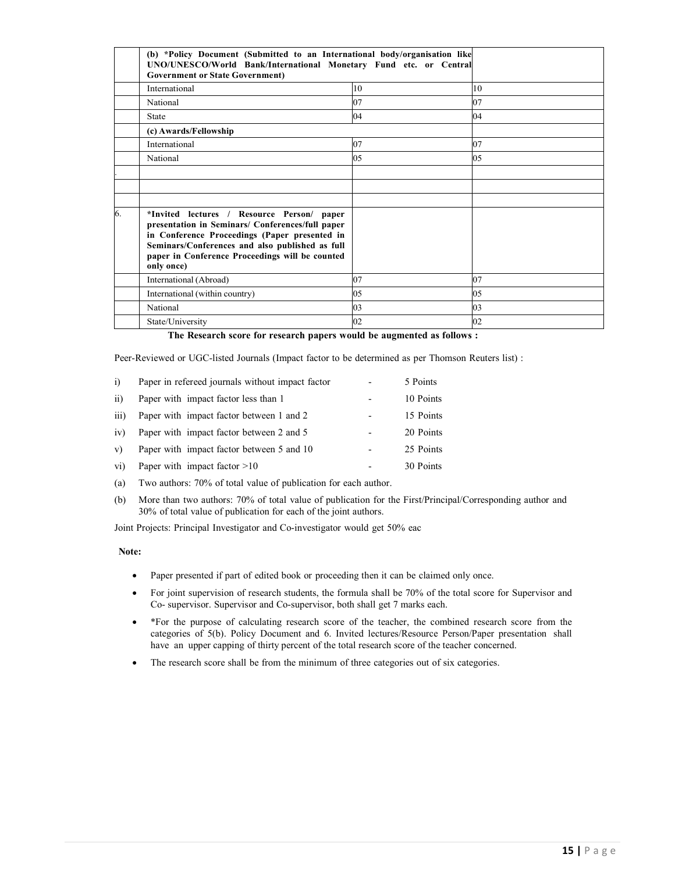|    | (b) *Policy Document (Submitted to an International body/organisation like<br>UNO/UNESCO/World Bank/International Monetary Fund etc. or Central<br><b>Government or State Government)</b>                                                                           |    |     |
|----|---------------------------------------------------------------------------------------------------------------------------------------------------------------------------------------------------------------------------------------------------------------------|----|-----|
|    | International                                                                                                                                                                                                                                                       | 10 | 10  |
|    | National                                                                                                                                                                                                                                                            | 07 | 07  |
|    | State                                                                                                                                                                                                                                                               | 04 | 04  |
|    | (c) Awards/Fellowship                                                                                                                                                                                                                                               |    |     |
|    | International                                                                                                                                                                                                                                                       | 07 | 07  |
|    | National                                                                                                                                                                                                                                                            | 05 | 0.5 |
|    |                                                                                                                                                                                                                                                                     |    |     |
|    |                                                                                                                                                                                                                                                                     |    |     |
|    |                                                                                                                                                                                                                                                                     |    |     |
| 6. | *Invited lectures / Resource Person/ paper<br>presentation in Seminars/ Conferences/full paper<br>in Conference Proceedings (Paper presented in<br>Seminars/Conferences and also published as full<br>paper in Conference Proceedings will be counted<br>only once) |    |     |
|    | International (Abroad)                                                                                                                                                                                                                                              | 07 | 07  |
|    | International (within country)                                                                                                                                                                                                                                      | 05 | 05  |
|    | National                                                                                                                                                                                                                                                            | 03 | 03  |
|    | State/University                                                                                                                                                                                                                                                    | 02 | 02  |

**The Research score for research papers would be augmented as follows :** 

Peer-Reviewed or UGC-listed Journals (Impact factor to be determined as per Thomson Reuters list) :

| $\overline{1}$   | Paper in refereed journals without impact factor |   | 5 Points  |
|------------------|--------------------------------------------------|---|-----------|
| $\overline{11}$  | Paper with impact factor less than 1             |   | 10 Points |
| $\overline{111}$ | Paper with impact factor between 1 and 2         |   | 15 Points |
| iv)              | Paper with impact factor between 2 and 5         |   | 20 Points |
| V)               | Paper with impact factor between 5 and 10        | - | 25 Points |
| vi)              | Paper with impact factor $>10$                   |   | 30 Points |

- (a) Two authors: 70% of total value of publication for each author.
- (b) More than two authors: 70% of total value of publication for the First/Principal/Corresponding author and 30% of total value of publication for each of the joint authors.

Joint Projects: Principal Investigator and Co-investigator would get 50% eac

#### **Note:**

- Paper presented if part of edited book or proceeding then it can be claimed only once.
- For joint supervision of research students, the formula shall be 70% of the total score for Supervisor and Co- supervisor. Supervisor and Co-supervisor, both shall get 7 marks each.
- \*For the purpose of calculating research score of the teacher, the combined research score from the categories of 5(b). Policy Document and 6. Invited lectures/Resource Person/Paper presentation shall have an upper capping of thirty percent of the total research score of the teacher concerned.
- The research score shall be from the minimum of three categories out of six categories.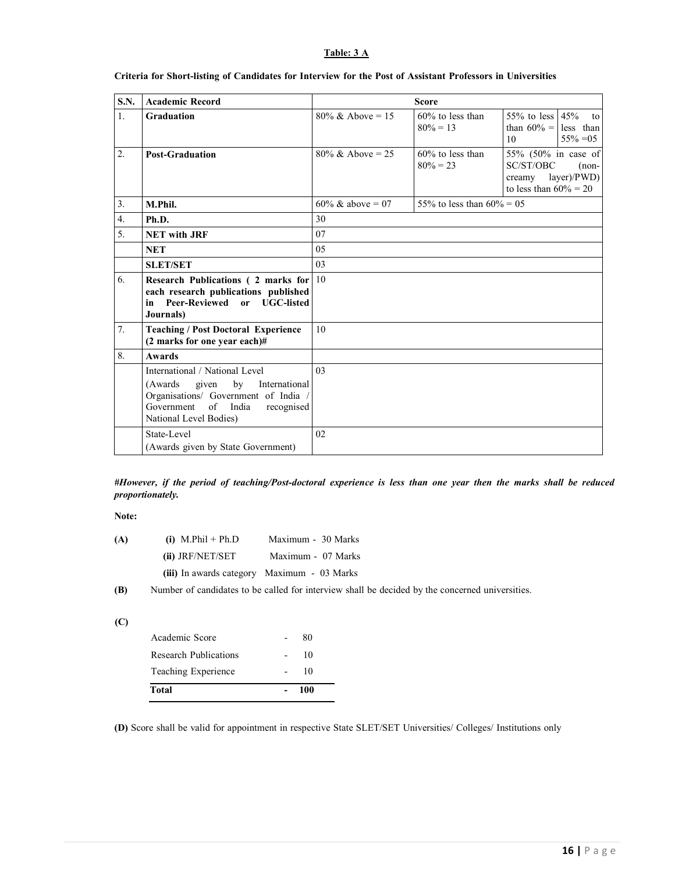#### **Table: 3 A**

| <b>S.N.</b>      | <b>Academic Record</b>                                                                                                                                                               | <b>Score</b>                 |                                    |                                                                                      |                               |
|------------------|--------------------------------------------------------------------------------------------------------------------------------------------------------------------------------------|------------------------------|------------------------------------|--------------------------------------------------------------------------------------|-------------------------------|
| $\mathbf{1}$ .   | <b>Graduation</b>                                                                                                                                                                    | $80\% \& \text{ Above} = 15$ | $60\%$ to less than<br>$80\% = 13$ | 55% to less $45%$<br>than $60\% =$ less than<br>10                                   | $\overline{t}$<br>$55\% = 05$ |
| 2.               | <b>Post-Graduation</b>                                                                                                                                                               | $80\% \& \text{ Above} = 25$ | $60\%$ to less than<br>$80\% = 23$ | 55% (50% in case of<br>SC/ST/OBC<br>creamy $layer)/PWD)$<br>to less than $60\% = 20$ | $(non-$                       |
| 3.               | M.Phil.                                                                                                                                                                              | 60% & above = 07             | 55% to less than $60\% = 05$       |                                                                                      |                               |
| $\overline{4}$ . | Ph.D.                                                                                                                                                                                | 30                           |                                    |                                                                                      |                               |
| 5.               | <b>NET</b> with JRF                                                                                                                                                                  | 07                           |                                    |                                                                                      |                               |
|                  | <b>NET</b>                                                                                                                                                                           | 0.5                          |                                    |                                                                                      |                               |
|                  | <b>SLET/SET</b>                                                                                                                                                                      | 03                           |                                    |                                                                                      |                               |
| 6.               | Research Publications (2 marks for 10<br>each research publications published<br>in Peer-Reviewed or UGC-listed<br>Journals)                                                         |                              |                                    |                                                                                      |                               |
| 7.               | <b>Teaching / Post Doctoral Experience</b><br>(2 marks for one year each)#                                                                                                           | 10                           |                                    |                                                                                      |                               |
| 8.               | Awards                                                                                                                                                                               |                              |                                    |                                                                                      |                               |
|                  | International / National Level<br>by<br>given<br>(Awards)<br>International<br>Organisations/ Government of India /<br>Government<br>of India<br>recognised<br>National Level Bodies) | 0 <sup>3</sup>               |                                    |                                                                                      |                               |
|                  | State-Level<br>(Awards given by State Government)                                                                                                                                    | 02                           |                                    |                                                                                      |                               |

#### **Criteria for Short-listing of Candidates for Interview for the Post of Assistant Professors in Universities**

#### *#However, if the period of teaching/Post-doctoral experience is less than one year then the marks shall be reduced proportionately.*

**Note:** 

| (A) | $(i)$ M.Phil + Ph.D | Maximum - 30 Marks                          |
|-----|---------------------|---------------------------------------------|
|     | (ii) JRF/NET/SET    | Maximum - 07 Marks                          |
|     |                     | (iii) In awards category Maximum - 03 Marks |

**(B)** Number of candidates to be called for interview shall be decided by the concerned universities.

| ×<br>$\sim$ | I<br>v<br>I |
|-------------|-------------|

| 100 |  |
|-----|--|
| 10  |  |
| 10  |  |
| 80  |  |
|     |  |

**(D)** Score shall be valid for appointment in respective State SLET/SET Universities/ Colleges/ Institutions only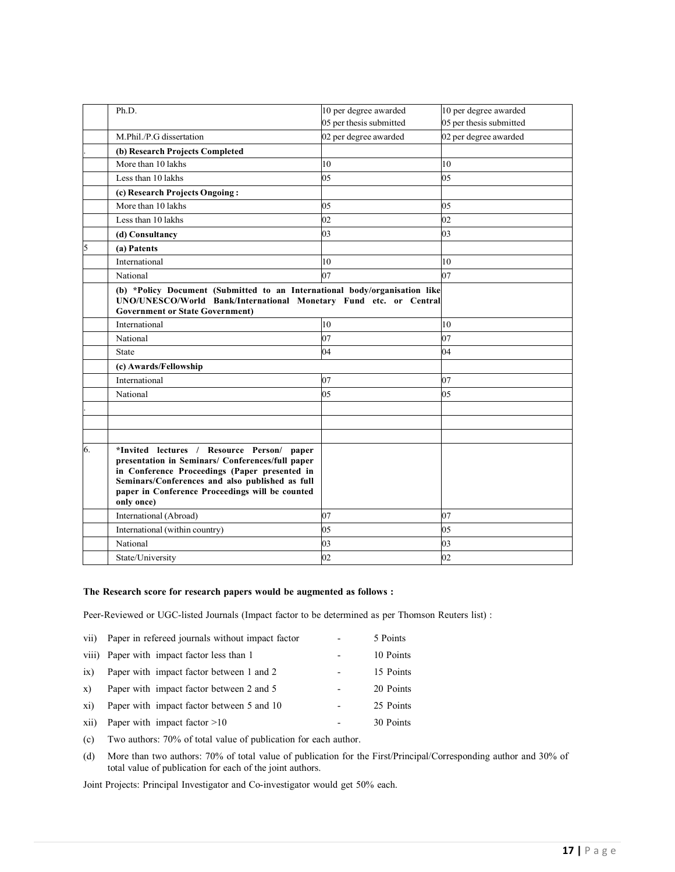|    | Ph.D.                                                                                                                                                                                                                                                                  | 10 per degree awarded   | 10 per degree awarded   |
|----|------------------------------------------------------------------------------------------------------------------------------------------------------------------------------------------------------------------------------------------------------------------------|-------------------------|-------------------------|
|    |                                                                                                                                                                                                                                                                        | 05 per thesis submitted | 05 per thesis submitted |
|    | M.Phil./P.G dissertation                                                                                                                                                                                                                                               | 02 per degree awarded   | 02 per degree awarded   |
|    | (b) Research Projects Completed                                                                                                                                                                                                                                        |                         |                         |
|    | More than 10 lakhs                                                                                                                                                                                                                                                     | 10                      | 10                      |
|    | Less than 10 lakhs                                                                                                                                                                                                                                                     | 05                      | 05                      |
|    | (c) Research Projects Ongoing:                                                                                                                                                                                                                                         |                         |                         |
|    | More than 10 lakhs                                                                                                                                                                                                                                                     | 05                      | 05                      |
|    | Less than 10 lakhs                                                                                                                                                                                                                                                     | 02                      | 02                      |
|    | (d) Consultancy                                                                                                                                                                                                                                                        | 03                      | 03                      |
| 5  | (a) Patents                                                                                                                                                                                                                                                            |                         |                         |
|    | International                                                                                                                                                                                                                                                          | 10                      | 10                      |
|    | National                                                                                                                                                                                                                                                               | 07                      | 07                      |
|    | (b) *Policy Document (Submitted to an International body/organisation like<br>UNO/UNESCO/World Bank/International Monetary Fund etc. or Central<br><b>Government or State Government)</b>                                                                              |                         |                         |
|    | International                                                                                                                                                                                                                                                          | 10                      | 10                      |
|    | National                                                                                                                                                                                                                                                               | 07                      | 07                      |
|    | <b>State</b>                                                                                                                                                                                                                                                           | 04                      | 04                      |
|    | (c) Awards/Fellowship                                                                                                                                                                                                                                                  |                         |                         |
|    | International                                                                                                                                                                                                                                                          | 07                      | 07                      |
|    | National                                                                                                                                                                                                                                                               | 05                      | 05                      |
|    |                                                                                                                                                                                                                                                                        |                         |                         |
|    |                                                                                                                                                                                                                                                                        |                         |                         |
|    |                                                                                                                                                                                                                                                                        |                         |                         |
| 6. | *Invited lectures / Resource Person/<br>paper<br>presentation in Seminars/ Conferences/full paper<br>in Conference Proceedings (Paper presented in<br>Seminars/Conferences and also published as full<br>paper in Conference Proceedings will be counted<br>only once) |                         |                         |
|    | International (Abroad)                                                                                                                                                                                                                                                 | 07                      | 07                      |
|    | International (within country)                                                                                                                                                                                                                                         | 05                      | 05                      |
|    | National                                                                                                                                                                                                                                                               | 03                      | 03                      |
|    | State/University                                                                                                                                                                                                                                                       | 02                      | 02                      |

#### **The Research score for research papers would be augmented as follows :**

Peer-Reviewed or UGC-listed Journals (Impact factor to be determined as per Thomson Reuters list) :

| vii)         | Paper in refereed journals without impact factor | 5 Points  |
|--------------|--------------------------------------------------|-----------|
|              | viii) Paper with impact factor less than 1       | 10 Points |
| ix)          | Paper with impact factor between 1 and 2         | 15 Points |
| $\mathbf{x}$ | Paper with impact factor between 2 and 5         | 20 Points |
| xi)          | Paper with impact factor between 5 and 10        | 25 Points |
| xii)         | Paper with impact factor $>10$                   | 30 Points |

(c) Two authors: 70% of total value of publication for each author.

(d) More than two authors: 70% of total value of publication for the First/Principal/Corresponding author and 30% of total value of publication for each of the joint authors.

Joint Projects: Principal Investigator and Co-investigator would get 50% each.